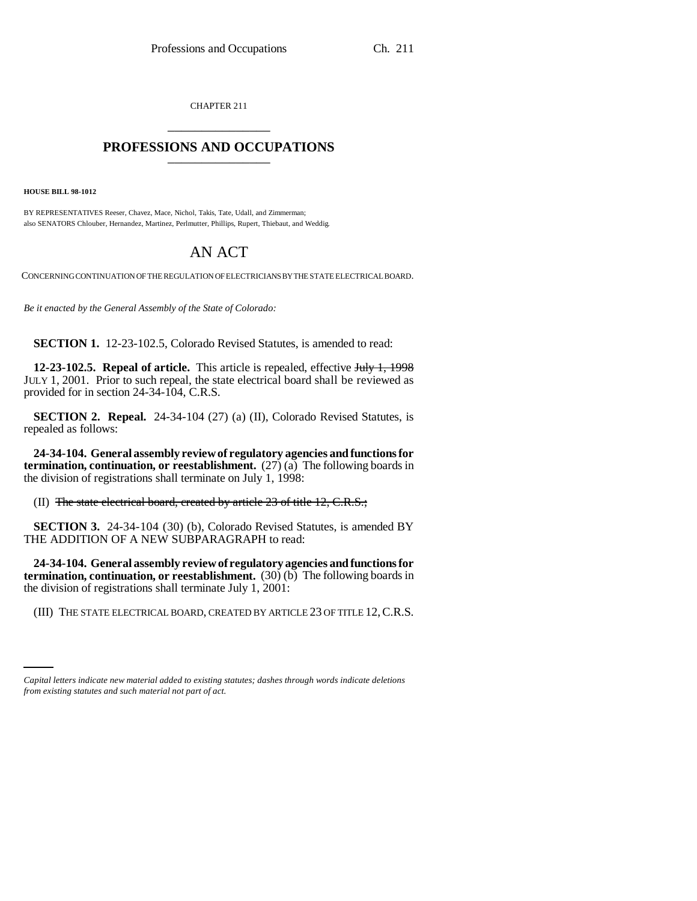CHAPTER 211 \_\_\_\_\_\_\_\_\_\_\_\_\_\_\_

## **PROFESSIONS AND OCCUPATIONS** \_\_\_\_\_\_\_\_\_\_\_\_\_\_\_

**HOUSE BILL 98-1012**

BY REPRESENTATIVES Reeser, Chavez, Mace, Nichol, Takis, Tate, Udall, and Zimmerman; also SENATORS Chlouber, Hernandez, Martinez, Perlmutter, Phillips, Rupert, Thiebaut, and Weddig.

## AN ACT

CONCERNING CONTINUATION OF THE REGULATION OF ELECTRICIANS BY THE STATE ELECTRICAL BOARD.

*Be it enacted by the General Assembly of the State of Colorado:*

**SECTION 1.** 12-23-102.5, Colorado Revised Statutes, is amended to read:

**12-23-102.5. Repeal of article.** This article is repealed, effective July 1, 1998 JULY 1, 2001. Prior to such repeal, the state electrical board shall be reviewed as provided for in section 24-34-104, C.R.S.

**SECTION 2. Repeal.** 24-34-104 (27) (a) (II), Colorado Revised Statutes, is repealed as follows:

**24-34-104. General assembly review of regulatory agencies and functions for termination, continuation, or reestablishment.** (27) (a) The following boards in the division of registrations shall terminate on July 1, 1998:

(II) The state electrical board, created by article 23 of title 12, C.R.S.;

**SECTION 3.** 24-34-104 (30) (b), Colorado Revised Statutes, is amended BY THE ADDITION OF A NEW SUBPARAGRAPH to read:

**24-34-104. General assembly review of regulatory agencies and functions for termination, continuation, or reestablishment.** (30) (b) The following boards in the division of registrations shall terminate July 1, 2001:

(III) THE STATE ELECTRICAL BOARD, CREATED BY ARTICLE 23 OF TITLE 12, C.R.S.

*Capital letters indicate new material added to existing statutes; dashes through words indicate deletions from existing statutes and such material not part of act.*